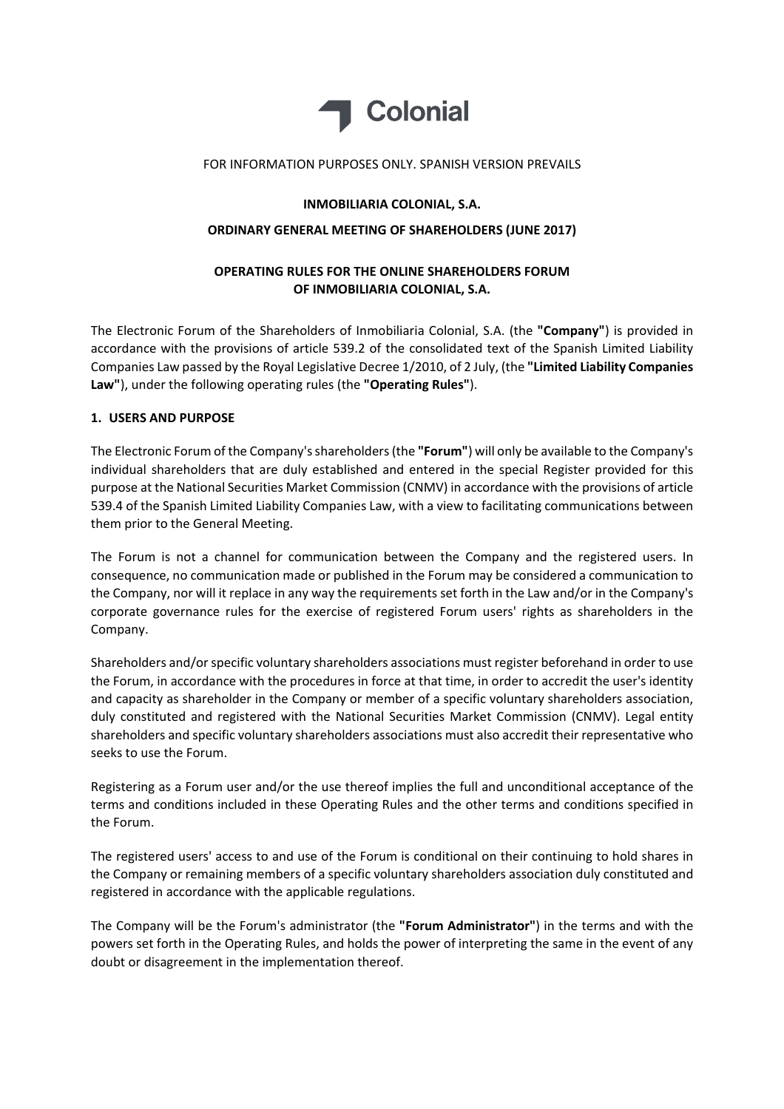

#### FOR INFORMATION PURPOSES ONLY. SPANISH VERSION PREVAILS

## **INMOBILIARIA COLONIAL, S.A.**

# **ORDINARY GENERAL MEETING OF SHAREHOLDERS (JUNE 2017)**

# **OPERATING RULES FOR THE ONLINE SHAREHOLDERS FORUM OF INMOBILIARIA COLONIAL, S.A.**

The Electronic Forum of the Shareholders of Inmobiliaria Colonial, S.A. (the **"Company"**) is provided in accordance with the provisions of article 539.2 of the consolidated text of the Spanish Limited Liability Companies Law passed by the Royal Legislative Decree 1/2010, of 2 July, (the **"Limited Liability Companies Law"**), under the following operating rules (the **"Operating Rules"**).

## **1. USERS AND PURPOSE**

The Electronic Forum of the Company's shareholders (the "Forum") will only be available to the Company's individual shareholders that are duly established and entered in the special Register provided for this purpose at the National Securities Market Commission (CNMV) in accordance with the provisions of article 539.4 of the Spanish Limited Liability Companies Law, with a view to facilitating communications between them prior to the General Meeting.

The Forum is not a channel for communication between the Company and the registered users. In consequence, no communication made or published in the Forum may be considered a communication to the Company, nor will it replace in any way the requirements set forth in the Law and/or in the Company's corporate governance rules for the exercise of registered Forum users' rights as shareholders in the Company.

Shareholders and/or specific voluntary shareholders associations must register beforehand in order to use the Forum, in accordance with the procedures in force at that time, in order to accredit the user's identity and capacity as shareholder in the Company or member of a specific voluntary shareholders association, duly constituted and registered with the National Securities Market Commission (CNMV). Legal entity shareholders and specific voluntary shareholders associations must also accredit their representative who seeks to use the Forum.

Registering as a Forum user and/or the use thereof implies the full and unconditional acceptance of the terms and conditions included in these Operating Rules and the other terms and conditions specified in the Forum.

The registered users' access to and use of the Forum is conditional on their continuing to hold shares in the Company or remaining members of a specific voluntary shareholders association duly constituted and registered in accordance with the applicable regulations.

The Company will be the Forum's administrator (the **"Forum Administrator"**) in the terms and with the powers set forth in the Operating Rules, and holds the power of interpreting the same in the event of any doubt or disagreement in the implementation thereof.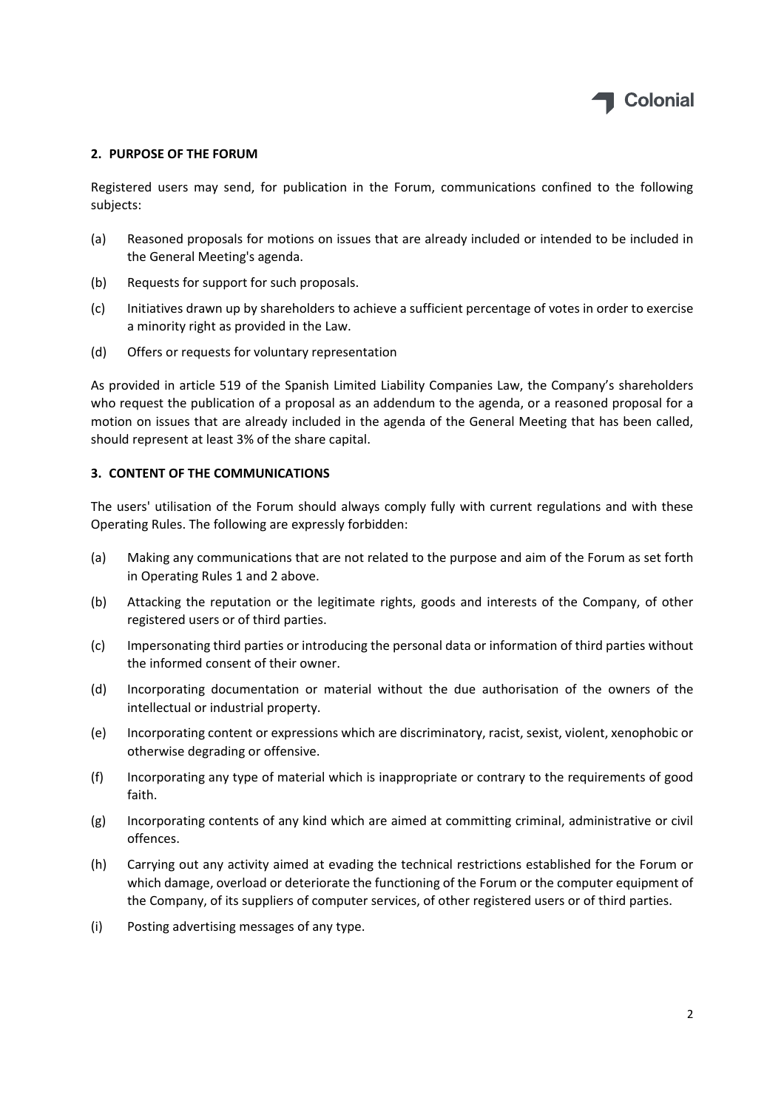

### **2. PURPOSE OF THE FORUM**

Registered users may send, for publication in the Forum, communications confined to the following subjects:

- (a) Reasoned proposals for motions on issues that are already included or intended to be included in the General Meeting's agenda.
- (b) Requests for support for such proposals.
- (c) Initiatives drawn up by shareholders to achieve a sufficient percentage of votes in order to exercise a minority right as provided in the Law.
- (d) Offers or requests for voluntary representation

As provided in article 519 of the Spanish Limited Liability Companies Law, the Company's shareholders who request the publication of a proposal as an addendum to the agenda, or a reasoned proposal for a motion on issues that are already included in the agenda of the General Meeting that has been called, should represent at least 3% of the share capital.

#### **3. CONTENT OF THE COMMUNICATIONS**

The users' utilisation of the Forum should always comply fully with current regulations and with these Operating Rules. The following are expressly forbidden:

- (a) Making any communications that are not related to the purpose and aim of the Forum as set forth in Operating Rules 1 and 2 above.
- (b) Attacking the reputation or the legitimate rights, goods and interests of the Company, of other registered users or of third parties.
- (c) Impersonating third parties or introducing the personal data or information of third parties without the informed consent of their owner.
- (d) Incorporating documentation or material without the due authorisation of the owners of the intellectual or industrial property.
- (e) Incorporating content or expressions which are discriminatory, racist, sexist, violent, xenophobic or otherwise degrading or offensive.
- (f) Incorporating any type of material which is inappropriate or contrary to the requirements of good faith.
- (g) Incorporating contents of any kind which are aimed at committing criminal, administrative or civil offences.
- (h) Carrying out any activity aimed at evading the technical restrictions established for the Forum or which damage, overload or deteriorate the functioning of the Forum or the computer equipment of the Company, of its suppliers of computer services, of other registered users or of third parties.
- (i) Posting advertising messages of any type.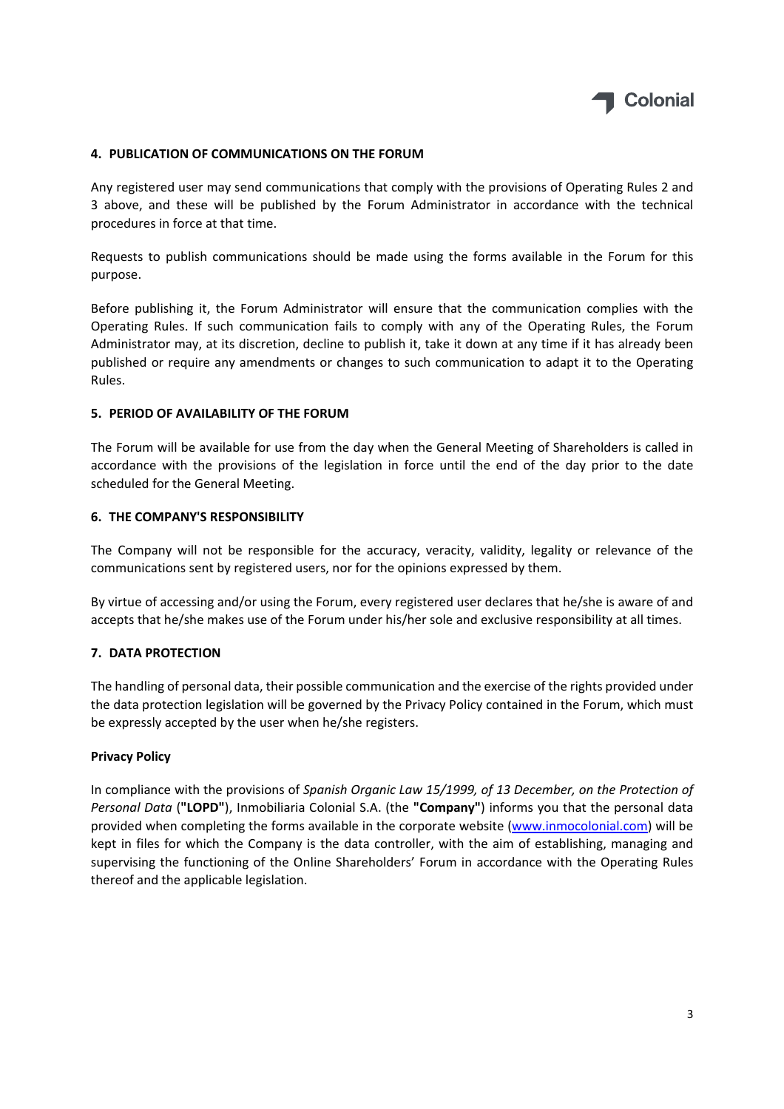

### **4. PUBLICATION OF COMMUNICATIONS ON THE FORUM**

Any registered user may send communications that comply with the provisions of Operating Rules 2 and 3 above, and these will be published by the Forum Administrator in accordance with the technical procedures in force at that time.

Requests to publish communications should be made using the forms available in the Forum for this purpose.

Before publishing it, the Forum Administrator will ensure that the communication complies with the Operating Rules. If such communication fails to comply with any of the Operating Rules, the Forum Administrator may, at its discretion, decline to publish it, take it down at any time if it has already been published or require any amendments or changes to such communication to adapt it to the Operating Rules.

#### **5. PERIOD OF AVAILABILITY OF THE FORUM**

The Forum will be available for use from the day when the General Meeting of Shareholders is called in accordance with the provisions of the legislation in force until the end of the day prior to the date scheduled for the General Meeting.

#### **6. THE COMPANY'S RESPONSIBILITY**

The Company will not be responsible for the accuracy, veracity, validity, legality or relevance of the communications sent by registered users, nor for the opinions expressed by them.

By virtue of accessing and/or using the Forum, every registered user declares that he/she is aware of and accepts that he/she makes use of the Forum under his/her sole and exclusive responsibility at all times.

#### **7. DATA PROTECTION**

The handling of personal data, their possible communication and the exercise of the rights provided under the data protection legislation will be governed by the Privacy Policy contained in the Forum, which must be expressly accepted by the user when he/she registers.

#### **Privacy Policy**

In compliance with the provisions of *Spanish Organic Law 15/1999, of 13 December, on the Protection of Personal Data* (**"LOPD"**), Inmobiliaria Colonial S.A. (the **"Company"**) informs you that the personal data provided when completing the forms available in the corporate website (www.inmocolonial.com) will be kept in files for which the Company is the data controller, with the aim of establishing, managing and supervising the functioning of the Online Shareholders' Forum in accordance with the Operating Rules thereof and the applicable legislation.